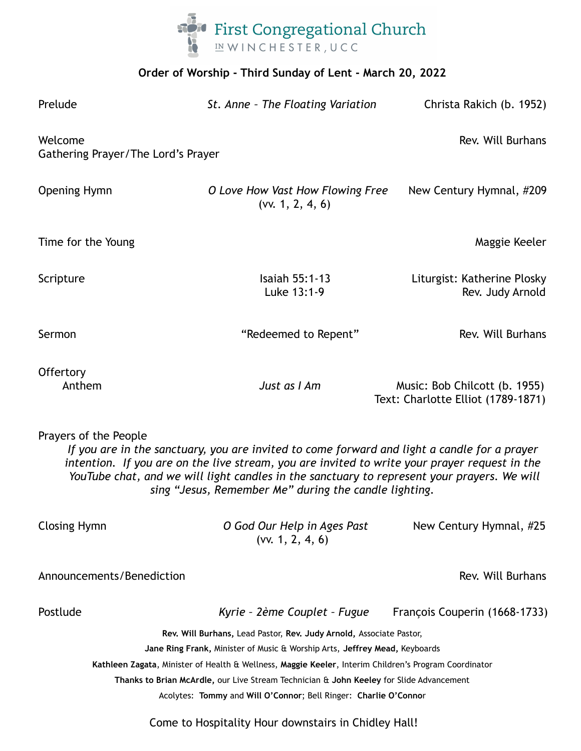

# **Order of Worship - Third Sunday of Lent - March 20, 2022**

| Prelude                                                                                                                                                                                                                                                                                                                                                                        | St. Anne - The Floating Variation                    | Christa Rakich (b. 1952)                                            |
|--------------------------------------------------------------------------------------------------------------------------------------------------------------------------------------------------------------------------------------------------------------------------------------------------------------------------------------------------------------------------------|------------------------------------------------------|---------------------------------------------------------------------|
| Welcome<br>Gathering Prayer/The Lord's Prayer                                                                                                                                                                                                                                                                                                                                  |                                                      | Rev. Will Burhans                                                   |
| <b>Opening Hymn</b>                                                                                                                                                                                                                                                                                                                                                            | O Love How Vast How Flowing Free<br>(vv. 1, 2, 4, 6) | New Century Hymnal, #209                                            |
| Time for the Young                                                                                                                                                                                                                                                                                                                                                             |                                                      | Maggie Keeler                                                       |
| Scripture                                                                                                                                                                                                                                                                                                                                                                      | Isaiah 55:1-13<br>Luke 13:1-9                        | Liturgist: Katherine Plosky<br>Rev. Judy Arnold                     |
| Sermon                                                                                                                                                                                                                                                                                                                                                                         | "Redeemed to Repent"                                 | Rev. Will Burhans                                                   |
| Offertory<br>Anthem                                                                                                                                                                                                                                                                                                                                                            | Just as I Am                                         | Music: Bob Chilcott (b. 1955)<br>Text: Charlotte Elliot (1789-1871) |
| Prayers of the People<br>If you are in the sanctuary, you are invited to come forward and light a candle for a prayer<br>intention. If you are on the live stream, you are invited to write your prayer request in the<br>YouTube chat, and we will light candles in the sanctuary to represent your prayers. We will<br>sing "Jesus, Remember Me" during the candle lighting. |                                                      |                                                                     |
| <b>Closing Hymn</b>                                                                                                                                                                                                                                                                                                                                                            | O God Our Help in Ages Past<br>(vv. 1, 2, 4, 6)      | New Century Hymnal, #25                                             |
| Announcements/Benediction                                                                                                                                                                                                                                                                                                                                                      |                                                      | Rev. Will Burhans                                                   |
| Postlude                                                                                                                                                                                                                                                                                                                                                                       | Kyrie - 2ème Couplet - Fugue                         | François Couperin (1668-1733)                                       |
| Rev. Will Burhans, Lead Pastor, Rev. Judy Arnold, Associate Pastor,                                                                                                                                                                                                                                                                                                            |                                                      |                                                                     |
| Jane Ring Frank, Minister of Music & Worship Arts, Jeffrey Mead, Keyboards                                                                                                                                                                                                                                                                                                     |                                                      |                                                                     |
| Kathleen Zagata, Minister of Health & Wellness, Maggie Keeler, Interim Children's Program Coordinator<br>Thanks to Brian McArdle, our Live Stream Technician & John Keeley for Slide Advancement                                                                                                                                                                               |                                                      |                                                                     |
| Acolytes: Tommy and Will O'Connor; Bell Ringer: Charlie O'Connor                                                                                                                                                                                                                                                                                                               |                                                      |                                                                     |
| Come to Hospitality Hour downstairs in Chidley Hall!                                                                                                                                                                                                                                                                                                                           |                                                      |                                                                     |